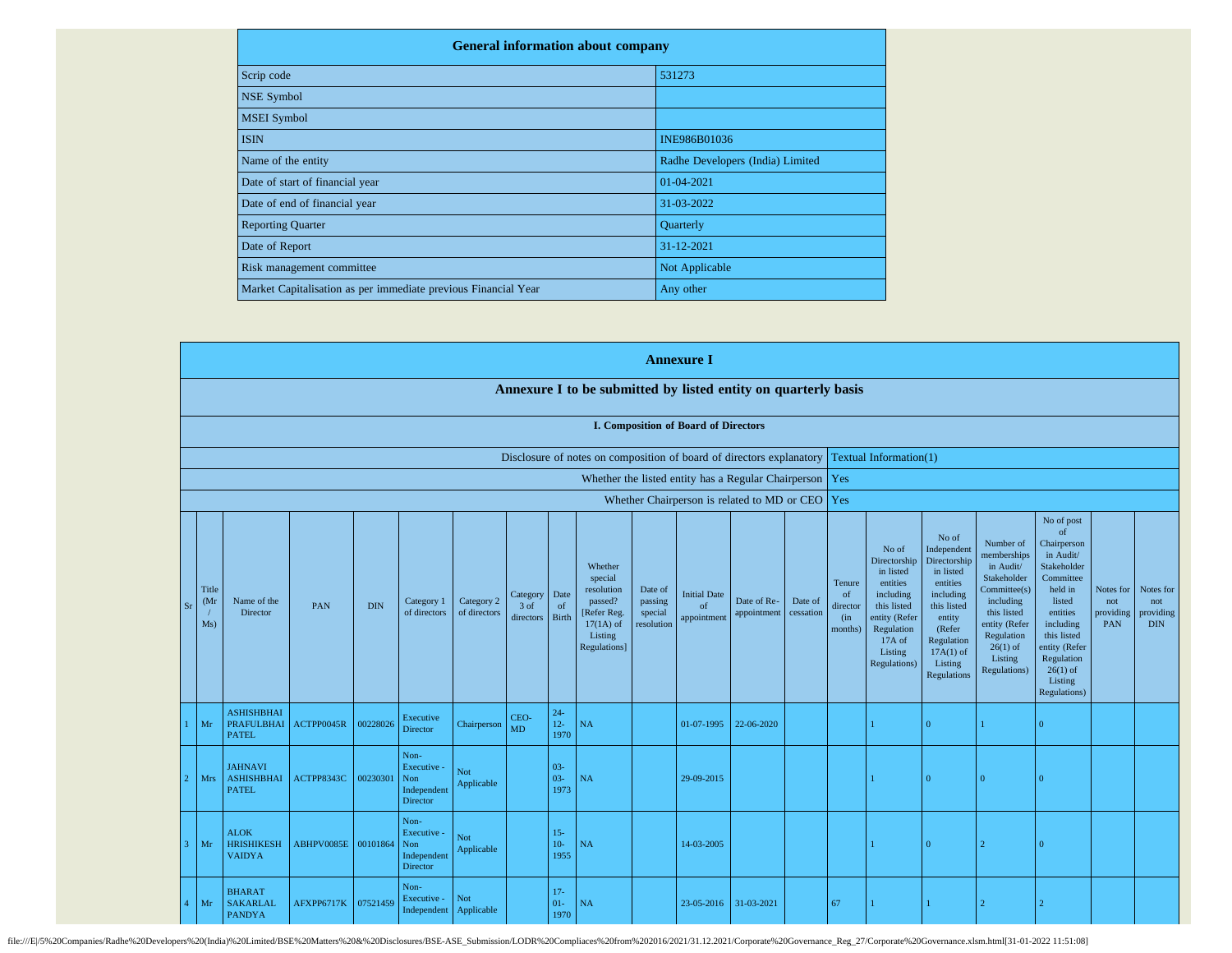| <b>General information about company</b>                       |                                  |  |  |  |  |  |  |  |  |
|----------------------------------------------------------------|----------------------------------|--|--|--|--|--|--|--|--|
| Scrip code                                                     | 531273                           |  |  |  |  |  |  |  |  |
| <b>NSE Symbol</b>                                              |                                  |  |  |  |  |  |  |  |  |
| <b>MSEI</b> Symbol                                             |                                  |  |  |  |  |  |  |  |  |
| <b>ISIN</b>                                                    | INE986B01036                     |  |  |  |  |  |  |  |  |
| Name of the entity                                             | Radhe Developers (India) Limited |  |  |  |  |  |  |  |  |
| Date of start of financial year                                | 01-04-2021                       |  |  |  |  |  |  |  |  |
| Date of end of financial year                                  | 31-03-2022                       |  |  |  |  |  |  |  |  |
| <b>Reporting Quarter</b>                                       | Quarterly                        |  |  |  |  |  |  |  |  |
| Date of Report                                                 | 31-12-2021                       |  |  |  |  |  |  |  |  |
| Risk management committee                                      | Not Applicable                   |  |  |  |  |  |  |  |  |
| Market Capitalisation as per immediate previous Financial Year | Any other                        |  |  |  |  |  |  |  |  |

|                |                     |                                                        |                     |            |                                                       |                            |                                 |                            |                                                                                                      |                                             | <b>Annexure I</b>                                         |                            |                      |                                             |                                                                                                                                                |                                                                                                                                                                      |                                                                                                                                                                          |                                                                                                                                                                                                               |                                      |                                             |
|----------------|---------------------|--------------------------------------------------------|---------------------|------------|-------------------------------------------------------|----------------------------|---------------------------------|----------------------------|------------------------------------------------------------------------------------------------------|---------------------------------------------|-----------------------------------------------------------|----------------------------|----------------------|---------------------------------------------|------------------------------------------------------------------------------------------------------------------------------------------------|----------------------------------------------------------------------------------------------------------------------------------------------------------------------|--------------------------------------------------------------------------------------------------------------------------------------------------------------------------|---------------------------------------------------------------------------------------------------------------------------------------------------------------------------------------------------------------|--------------------------------------|---------------------------------------------|
|                |                     |                                                        |                     |            |                                                       |                            |                                 |                            | Annexure I to be submitted by listed entity on quarterly basis                                       |                                             |                                                           |                            |                      |                                             |                                                                                                                                                |                                                                                                                                                                      |                                                                                                                                                                          |                                                                                                                                                                                                               |                                      |                                             |
|                |                     |                                                        |                     |            |                                                       |                            |                                 |                            |                                                                                                      |                                             | I. Composition of Board of Directors                      |                            |                      |                                             |                                                                                                                                                |                                                                                                                                                                      |                                                                                                                                                                          |                                                                                                                                                                                                               |                                      |                                             |
|                |                     |                                                        |                     |            |                                                       |                            |                                 |                            | Disclosure of notes on composition of board of directors explanatory                                 |                                             |                                                           |                            |                      |                                             | Textual Information(1)                                                                                                                         |                                                                                                                                                                      |                                                                                                                                                                          |                                                                                                                                                                                                               |                                      |                                             |
|                |                     |                                                        |                     |            |                                                       |                            |                                 |                            |                                                                                                      |                                             | Whether the listed entity has a Regular Chairperson   Yes |                            |                      |                                             |                                                                                                                                                |                                                                                                                                                                      |                                                                                                                                                                          |                                                                                                                                                                                                               |                                      |                                             |
|                |                     |                                                        |                     |            |                                                       |                            |                                 |                            |                                                                                                      |                                             | Whether Chairperson is related to MD or CEO   Yes         |                            |                      |                                             |                                                                                                                                                |                                                                                                                                                                      |                                                                                                                                                                          |                                                                                                                                                                                                               |                                      |                                             |
| S <sub>1</sub> | Title<br>(Mr<br>Ms) | Name of the<br>Director                                | PAN                 | <b>DIN</b> | Category 1<br>of directors                            | Category 2<br>of directors | Category<br>$3$ of<br>directors | Date<br>of<br><b>Birth</b> | Whether<br>special<br>resolution<br>passed?<br>[Refer Reg.<br>$17(1A)$ of<br>Listing<br>Regulations] | Date of<br>passing<br>special<br>resolution | <b>Initial Date</b><br>of<br>appointment                  | Date of Re-<br>appointment | Date of<br>cessation | Tenure<br>of<br>director<br>(in)<br>months) | No of<br>Directorship<br>in listed<br>entities<br>including<br>this listed<br>entity (Refer<br>Regulation<br>17A of<br>Listing<br>Regulations) | No of<br>Independent<br>Directorship<br>in listed<br>entities<br>including<br>this listed<br>entity<br>(Refer<br>Regulation<br>$17A(1)$ of<br>Listing<br>Regulations | Number of<br>memberships<br>in Audit/<br>Stakeholder<br>Committee(s)<br>including<br>this listed<br>entity (Refer<br>Regulation<br>$26(1)$ of<br>Listing<br>Regulations) | No of post<br>of<br>Chairperson<br>in Audit/<br>Stakeholder<br>Committee<br>held in<br>listed<br>entities<br>including<br>this listed<br>entity (Refer<br>Regulation<br>$26(1)$ of<br>Listing<br>Regulations) | Notes for<br>not<br>providing<br>PAN | Notes for<br>not<br>providing<br>$\rm{DIN}$ |
|                | Mr                  | <b>ASHISHBHAI</b><br><b>PRAFULBHAI</b><br><b>PATEL</b> | ACTPP0045R          | 00228026   | Executive<br><b>Director</b>                          | Chairperson                | CEO-<br>MD                      | $24-$<br>$12 -$<br>1970    | NA                                                                                                   |                                             | 01-07-1995                                                | 22-06-2020                 |                      |                                             |                                                                                                                                                | $\Omega$                                                                                                                                                             |                                                                                                                                                                          | $\Omega$                                                                                                                                                                                                      |                                      |                                             |
| $\overline{c}$ | <b>Mrs</b>          | <b>JAHNAVI</b><br><b>ASHISHBHAI</b><br><b>PATEL</b>    | ACTPP8343C          | 00230301   | Non-<br>Executive -<br>Non<br>Independent<br>Director | <b>Not</b><br>Applicable   |                                 | $03 -$<br>$03 -$<br>1973   | NA                                                                                                   |                                             | 29-09-2015                                                |                            |                      |                                             |                                                                                                                                                | $\Omega$                                                                                                                                                             | $\Omega$                                                                                                                                                                 | $\Omega$                                                                                                                                                                                                      |                                      |                                             |
| 3              | Mr                  | <b>ALOK</b><br><b>HRISHIKESH</b><br><b>VAIDYA</b>      | ABHPV0085E 00101864 |            | Non-<br>Executive -<br>Non<br>Independent<br>Director | Not<br>Applicable          |                                 | $15 -$<br>$10-$<br>1955    | NA                                                                                                   |                                             | 14-03-2005                                                |                            |                      |                                             |                                                                                                                                                | $\theta$                                                                                                                                                             | b                                                                                                                                                                        | $\Omega$                                                                                                                                                                                                      |                                      |                                             |
| 4              | Mr                  | <b>BHARAT</b><br><b>SAKARLAL</b><br><b>PANDYA</b>      | AFXPP6717K          | 07521459   | Non-<br>Executive -<br>Independent Applicable         | Not                        |                                 | $17-$<br>$01-$<br>1970     | <b>NA</b>                                                                                            |                                             | 23-05-2016                                                | 31-03-2021                 |                      | 67                                          |                                                                                                                                                |                                                                                                                                                                      | ゥ                                                                                                                                                                        |                                                                                                                                                                                                               |                                      |                                             |

file:///El/5%20Companies/Radhe%20Developers%20(India)%20Limited/BSE%20Matters%20&%20Disclosures/BSE-ASE\_Submission/LODR%20Compliaces%20from%202016/2021/31.12.2021/Corporate%20Governance\_Reg\_27/Corporate%20Governance.xlsm.h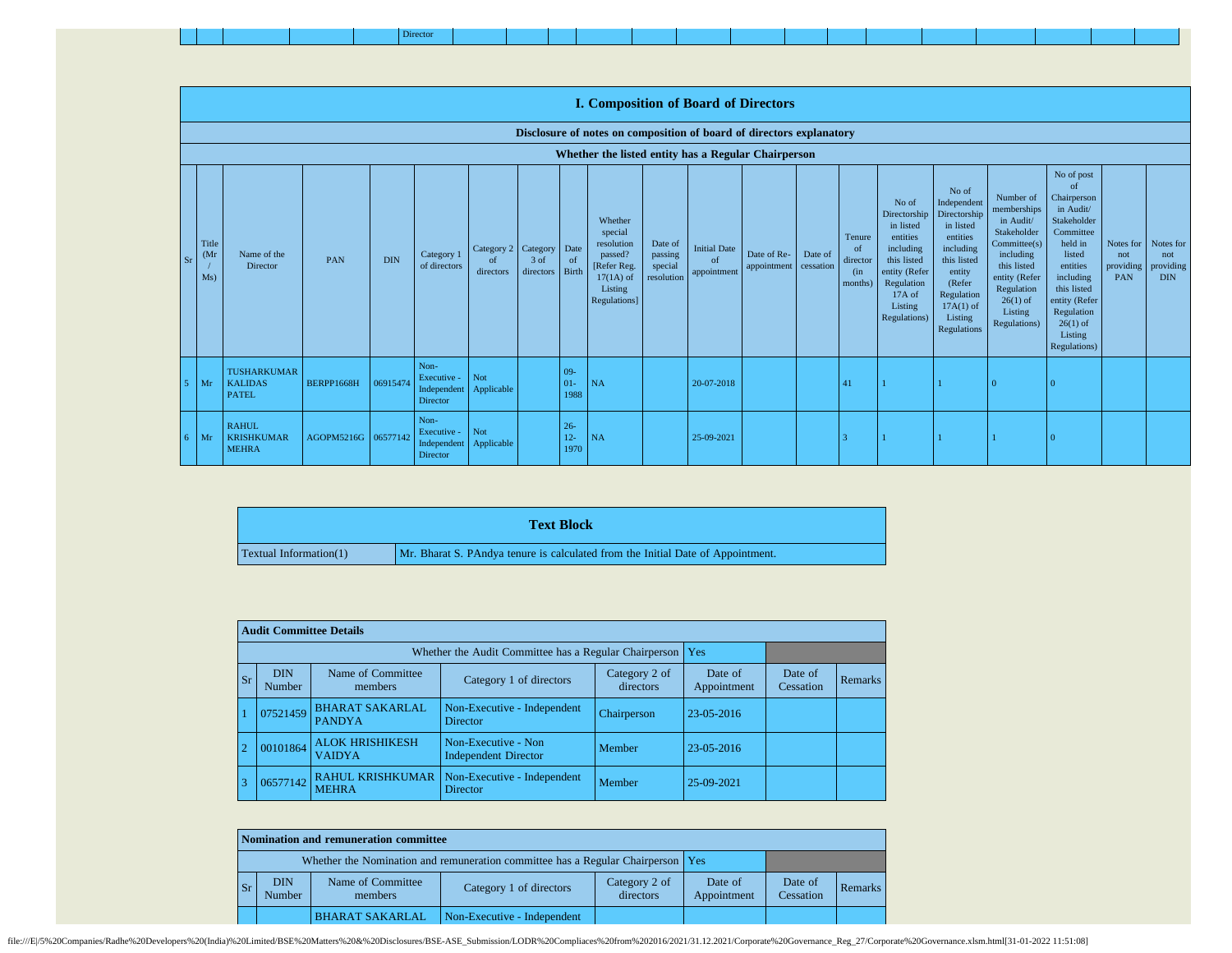|--|--|--|--|--|--|--|--|--|--|--|--|--|--|--|--|--|--|--|--|--|

|           |                                   |                                                      |                     |            |                                                       |                               |                                 |                          | <b>I. Composition of Board of Directors</b>                                                          |                                             |                                                |                                      |         |                                                        |                                                                                                                                                  |                                                                                                                                                                      |                                                                                                                                                                                  |                                                                                                                                                                                                                          |                                |                                                       |
|-----------|-----------------------------------|------------------------------------------------------|---------------------|------------|-------------------------------------------------------|-------------------------------|---------------------------------|--------------------------|------------------------------------------------------------------------------------------------------|---------------------------------------------|------------------------------------------------|--------------------------------------|---------|--------------------------------------------------------|--------------------------------------------------------------------------------------------------------------------------------------------------|----------------------------------------------------------------------------------------------------------------------------------------------------------------------|----------------------------------------------------------------------------------------------------------------------------------------------------------------------------------|--------------------------------------------------------------------------------------------------------------------------------------------------------------------------------------------------------------------------|--------------------------------|-------------------------------------------------------|
|           |                                   |                                                      |                     |            |                                                       |                               |                                 |                          | Disclosure of notes on composition of board of directors explanatory                                 |                                             |                                                |                                      |         |                                                        |                                                                                                                                                  |                                                                                                                                                                      |                                                                                                                                                                                  |                                                                                                                                                                                                                          |                                |                                                       |
|           |                                   |                                                      |                     |            |                                                       |                               |                                 |                          | Whether the listed entity has a Regular Chairperson                                                  |                                             |                                                |                                      |         |                                                        |                                                                                                                                                  |                                                                                                                                                                      |                                                                                                                                                                                  |                                                                                                                                                                                                                          |                                |                                                       |
| <b>Sr</b> | Title<br>(M <sub>1</sub> )<br>Ms) | Name of the<br>Director                              | PAN                 | <b>DIN</b> | Category 1<br>of directors                            | Category 2<br>of<br>directors | Category<br>$3$ of<br>directors | Date<br>of<br>Birth      | Whether<br>special<br>resolution<br>passed?<br>[Refer Reg.<br>$17(1A)$ of<br>Listing<br>Regulations] | Date of<br>passing<br>special<br>resolution | <b>Initial Date</b><br>$\alpha$<br>appointment | Date of Re-<br>appointment cessation | Date of | Tenure<br><sub>of</sub><br>director<br>(in)<br>months) | No of<br>Directorship<br>in listed<br>entities<br>including<br>this listed<br>entity (Refer<br>Regulation<br>$17A$ of<br>Listing<br>Regulations) | No of<br>Independent<br>Directorship<br>in listed<br>entities<br>including<br>this listed<br>entity<br>(Refer<br>Regulation<br>$17A(1)$ of<br>Listing<br>Regulations | Number of<br>memberships<br>in Audit/<br>Stakeholder<br>Committee(s)<br>including<br>this listed<br>entity (Refer<br>Regulation<br>$26(1)$ of<br>Listing<br><b>Regulations</b> ) | No of post<br><sub>of</sub><br>Chairperson<br>in Audit/<br>Stakeholder<br>Committee<br>held in<br>listed<br>entities<br>including<br>this listed<br>entity (Refer<br>Regulation<br>$26(1)$ of<br>Listing<br>Regulations) | not<br>providing<br><b>PAN</b> | Notes for Notes for<br>not<br>providing<br><b>DIN</b> |
|           | Mr                                | <b>TUSHARKUMAR</b><br><b>KALIDAS</b><br><b>PATEL</b> | BERPP1668H          | 06915474   | Non-<br>Executive -<br>Independent<br><b>Director</b> | Not<br>Applicable             |                                 | $09 -$<br>$01-$<br>1988  | <b>NA</b>                                                                                            |                                             | 20-07-2018                                     |                                      |         | 41                                                     |                                                                                                                                                  |                                                                                                                                                                      |                                                                                                                                                                                  |                                                                                                                                                                                                                          |                                |                                                       |
| 6.        | Mr                                | <b>RAHUL</b><br><b>KRISHKUMAR</b><br><b>MEHRA</b>    | AGOPM5216G 06577142 |            | Non-<br>Executive -<br>Independent<br>Director        | Not<br>Applicable             |                                 | $26 -$<br>$12 -$<br>1970 | NA                                                                                                   |                                             | 25-09-2021                                     |                                      |         |                                                        |                                                                                                                                                  |                                                                                                                                                                      |                                                                                                                                                                                  |                                                                                                                                                                                                                          |                                |                                                       |

|                        | <b>Text Block</b>                                                               |
|------------------------|---------------------------------------------------------------------------------|
| Textual Information(1) | Mr. Bharat S. PAndya tenure is calculated from the Initial Date of Appointment. |

|           | <b>Audit Committee Details</b> |                                         |                                                             |                            |                        |                      |         |  |  |  |  |  |
|-----------|--------------------------------|-----------------------------------------|-------------------------------------------------------------|----------------------------|------------------------|----------------------|---------|--|--|--|--|--|
|           |                                |                                         | Whether the Audit Committee has a Regular Chairperson   Yes |                            |                        |                      |         |  |  |  |  |  |
| <b>Sr</b> | <b>DIN</b><br>Number           | Name of Committee<br>members            | Category 1 of directors                                     | Category 2 of<br>directors | Date of<br>Appointment | Date of<br>Cessation | Remarks |  |  |  |  |  |
|           | 07521459                       | <b>BHARAT SAKARLAL</b><br><b>PANDYA</b> | Non-Executive - Independent<br><b>Director</b>              | Chairperson                | 23-05-2016             |                      |         |  |  |  |  |  |
|           | 00101864                       | <b>ALOK HRISHIKESH</b><br><b>VAIDYA</b> | Non-Executive - Non<br><b>Independent Director</b>          | Member                     | 23-05-2016             |                      |         |  |  |  |  |  |
|           | 06577142                       | <b>RAHUL KRISHKUMAR</b><br><b>MEHRA</b> | Non-Executive - Independent<br><b>Director</b>              | Member                     | 25-09-2021             |                      |         |  |  |  |  |  |

|           | Nomination and remuneration committee                                             |                              |                             |                            |                        |                      |         |  |  |  |  |
|-----------|-----------------------------------------------------------------------------------|------------------------------|-----------------------------|----------------------------|------------------------|----------------------|---------|--|--|--|--|
|           | Whether the Nomination and remuneration committee has a Regular Chairperson   Yes |                              |                             |                            |                        |                      |         |  |  |  |  |
| <b>Sr</b> | <b>DIN</b><br>Number                                                              | Name of Committee<br>members | Category 1 of directors     | Category 2 of<br>directors | Date of<br>Appointment | Date of<br>Cessation | Remarks |  |  |  |  |
|           |                                                                                   | <b>BHARAT SAKARLAL</b>       | Non-Executive - Independent |                            |                        |                      |         |  |  |  |  |

file:///El/5%20Companies/Radhe%20Developers%20(India)%20Limited/BSE%20Matters%20&%20Disclosures/BSE-ASE\_Submission/LODR%20Compliaces%20from%202016/2021/31.12.2021/Corporate%20Governance\_Reg\_27/Corporate%20Governance.xlsm.h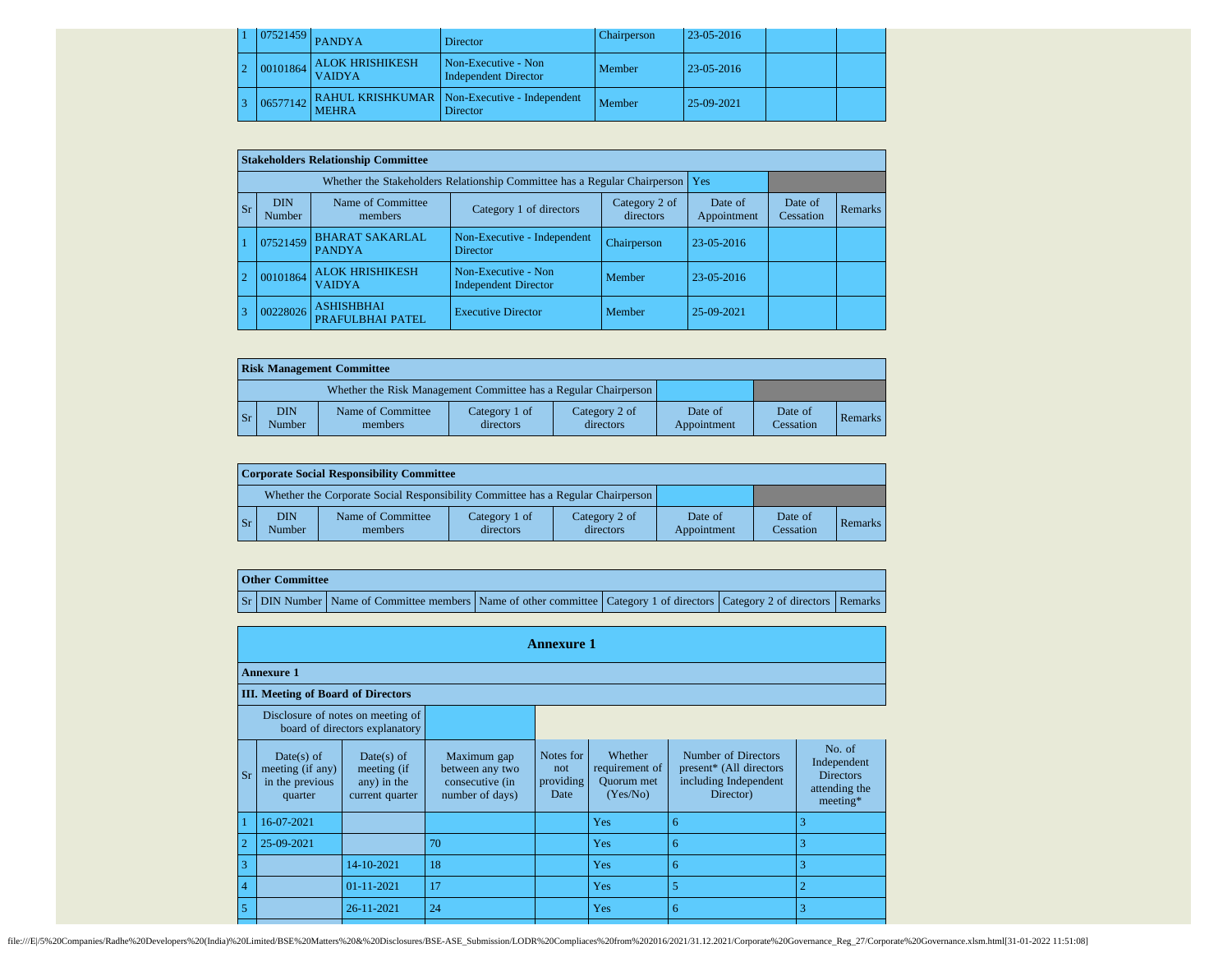|  |          | $1$   07521459   PANDYA                 | <b>Director</b>                                            | Chairperson | 23-05-2016 |  |
|--|----------|-----------------------------------------|------------------------------------------------------------|-------------|------------|--|
|  | 00101864 | <b>ALOK HRISHIKESH</b><br><b>VAIDYA</b> | Non-Executive - Non<br><b>Independent Director</b>         | Member      | 23-05-2016 |  |
|  | 06577142 | <b>MEHRA</b>                            | RAHUL KRISHKUMAR   Non-Executive - Independent<br>Director | Member      | 25-09-2021 |  |

|    |                      | <b>Stakeholders Relationship Committee</b> |                                                                           |                            |                        |                      |         |
|----|----------------------|--------------------------------------------|---------------------------------------------------------------------------|----------------------------|------------------------|----------------------|---------|
|    |                      |                                            | Whether the Stakeholders Relationship Committee has a Regular Chairperson |                            | <b>Yes</b>             |                      |         |
| Sr | <b>DIN</b><br>Number | Name of Committee<br>members               | Category 1 of directors                                                   | Category 2 of<br>directors | Date of<br>Appointment | Date of<br>Cessation | Remarks |
|    | 07521459             | <b>BHARAT SAKARLAL</b><br><b>PANDYA</b>    | Non-Executive - Independent<br><b>Director</b>                            | Chairperson                | $23 - 05 - 2016$       |                      |         |
|    | 00101864             | <b>ALOK HRISHIKESH</b><br><b>VAIDYA</b>    | Non-Executive - Non<br><b>Independent Director</b>                        | Member                     | 23-05-2016             |                      |         |
|    | 00228026             | <b>ASHISHBHAI</b><br>PRAFULBHAI PATEL      | <b>Executive Director</b>                                                 | Member                     | 25-09-2021             |                      |         |

|                        | <b>Risk Management Committee</b> |                                                                 |                            |                            |                        |                      |         |  |  |  |  |  |  |
|------------------------|----------------------------------|-----------------------------------------------------------------|----------------------------|----------------------------|------------------------|----------------------|---------|--|--|--|--|--|--|
|                        |                                  | Whether the Risk Management Committee has a Regular Chairperson |                            |                            |                        |                      |         |  |  |  |  |  |  |
| $\overline{\text{Sr}}$ | DIN<br><b>Number</b>             | Name of Committee<br>members                                    | Category 1 of<br>directors | Category 2 of<br>directors | Date of<br>Appointment | Date of<br>Cessation | Remarks |  |  |  |  |  |  |

|                         | Corporate Social Responsibility Committee |                                                                                 |                            |                            |                        |                      |         |  |  |  |  |  |
|-------------------------|-------------------------------------------|---------------------------------------------------------------------------------|----------------------------|----------------------------|------------------------|----------------------|---------|--|--|--|--|--|
|                         |                                           | Whether the Corporate Social Responsibility Committee has a Regular Chairperson |                            |                            |                        |                      |         |  |  |  |  |  |
| $\mathsf{S} \mathbf{r}$ | DIN<br>Number                             | Name of Committee<br>members                                                    | Category 1 of<br>directors | Category 2 of<br>directors | Date of<br>Appointment | Date of<br>Cessation | Remarks |  |  |  |  |  |

## **Other Committee**

Sr DIN Number Name of Committee members Name of other committee Category 1 of directors Category 2 of directors Remarks

|                |                                                              |                                                                     |                                                                      | <b>Annexure 1</b>                     |                                                            |                                                                                      |                                                                          |
|----------------|--------------------------------------------------------------|---------------------------------------------------------------------|----------------------------------------------------------------------|---------------------------------------|------------------------------------------------------------|--------------------------------------------------------------------------------------|--------------------------------------------------------------------------|
|                | <b>Annexure 1</b>                                            |                                                                     |                                                                      |                                       |                                                            |                                                                                      |                                                                          |
|                | <b>III.</b> Meeting of Board of Directors                    |                                                                     |                                                                      |                                       |                                                            |                                                                                      |                                                                          |
|                |                                                              | Disclosure of notes on meeting of<br>board of directors explanatory |                                                                      |                                       |                                                            |                                                                                      |                                                                          |
| Sr             | Date(s) of<br>meeting (if any)<br>in the previous<br>quarter | Date(s) of<br>meeting (if<br>any) in the<br>current quarter         | Maximum gap<br>between any two<br>consecutive (in<br>number of days) | Notes for<br>not<br>providing<br>Date | Whether<br>requirement of<br><b>Ouorum</b> met<br>(Yes/No) | Number of Directors<br>present* (All directors<br>including Independent<br>Director) | No. of<br>Independent<br><b>Directors</b><br>attending the<br>$meeting*$ |
|                | 16-07-2021                                                   |                                                                     |                                                                      |                                       | Yes                                                        | 6                                                                                    | 3                                                                        |
| $\overline{2}$ | 25-09-2021                                                   |                                                                     | 70                                                                   |                                       | Yes                                                        | 6                                                                                    | 3                                                                        |
| 3              |                                                              | 14-10-2021                                                          | 18                                                                   |                                       | Yes                                                        | 6                                                                                    | 3                                                                        |
| $\overline{4}$ |                                                              | $01 - 11 - 2021$                                                    | 17                                                                   |                                       | Yes                                                        | 5                                                                                    | $\overline{2}$                                                           |
| 5              |                                                              | 26-11-2021                                                          | 24                                                                   |                                       | <b>Yes</b>                                                 | 6                                                                                    | 3                                                                        |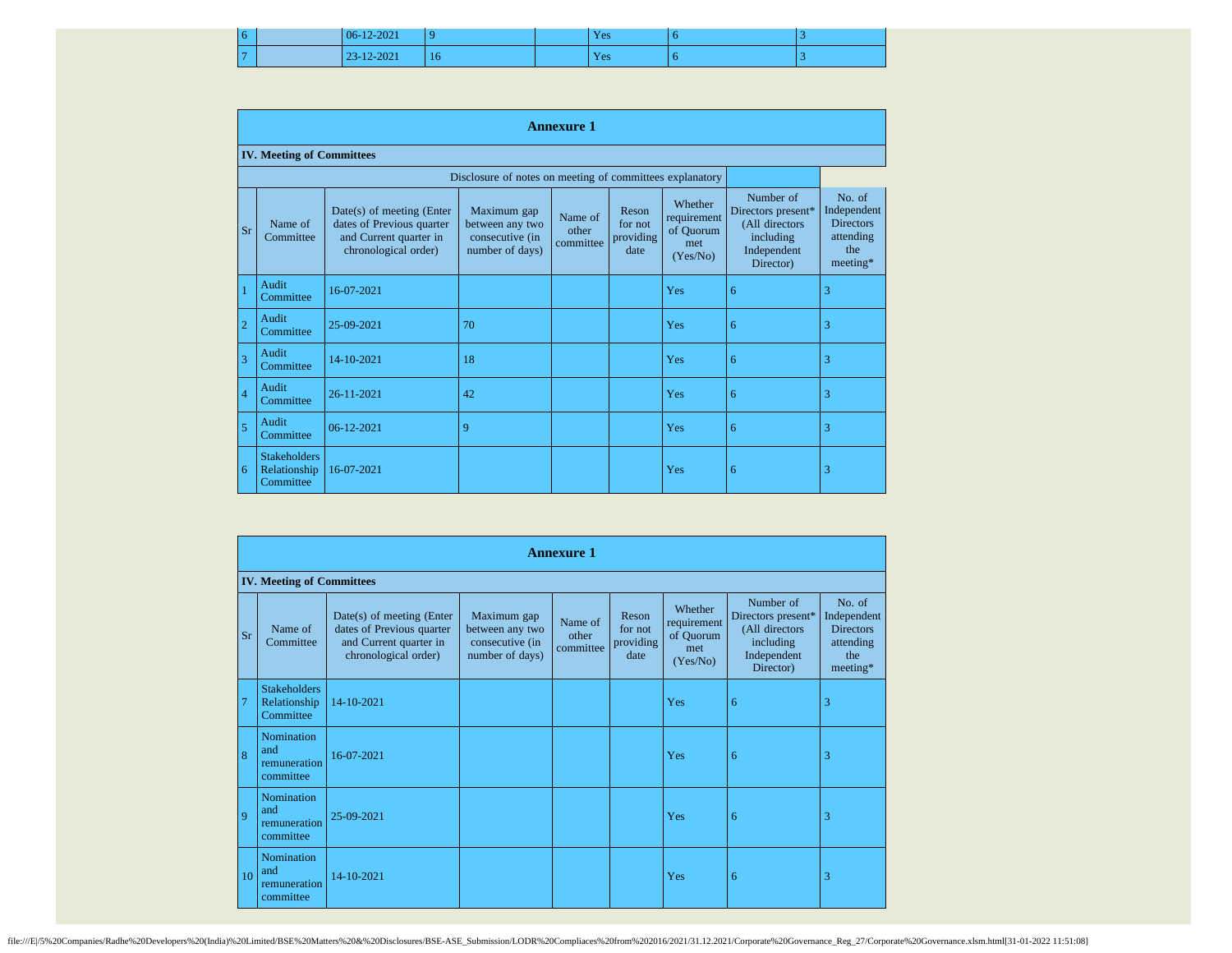|  | 06-12-2021 |    | Yes | u |  |
|--|------------|----|-----|---|--|
|  | 23-12-2021 | 16 | Yes | O |  |

|                | <b>Annexure 1</b>                                |                                                                                                          |                                                                      |                               |                                       |                                                        |                                                                                            |                                                                           |  |
|----------------|--------------------------------------------------|----------------------------------------------------------------------------------------------------------|----------------------------------------------------------------------|-------------------------------|---------------------------------------|--------------------------------------------------------|--------------------------------------------------------------------------------------------|---------------------------------------------------------------------------|--|
|                | <b>IV. Meeting of Committees</b>                 |                                                                                                          |                                                                      |                               |                                       |                                                        |                                                                                            |                                                                           |  |
|                |                                                  |                                                                                                          | Disclosure of notes on meeting of committees explanatory             |                               |                                       |                                                        |                                                                                            |                                                                           |  |
| Sr             | Name of<br>Committee                             | Date(s) of meeting (Enter<br>dates of Previous quarter<br>and Current quarter in<br>chronological order) | Maximum gap<br>between any two<br>consecutive (in<br>number of days) | Name of<br>other<br>committee | Reson<br>for not<br>providing<br>date | Whether<br>requirement<br>of Quorum<br>met<br>(Yes/No) | Number of<br>Directors present*<br>(All directors<br>including<br>Independent<br>Director) | No. of<br>Independent<br><b>Directors</b><br>attending<br>the<br>meeting* |  |
|                | Audit<br>Committee                               | 16-07-2021                                                                                               |                                                                      |                               |                                       | Yes                                                    | 6                                                                                          | 3                                                                         |  |
| $\overline{2}$ | Audit<br>Committee                               | 25-09-2021                                                                                               | 70                                                                   |                               |                                       | Yes                                                    | 6                                                                                          | 3                                                                         |  |
| $\overline{3}$ | Audit<br>Committee                               | 14-10-2021                                                                                               | 18                                                                   |                               |                                       | Yes                                                    | 6                                                                                          | 3                                                                         |  |
| $\overline{4}$ | Audit<br>Committee                               | 26-11-2021                                                                                               | 42                                                                   |                               |                                       | Yes                                                    | 6                                                                                          | 3                                                                         |  |
| 5              | Audit<br>Committee                               | 06-12-2021                                                                                               | 9                                                                    |                               |                                       | Yes                                                    | 6                                                                                          | 3                                                                         |  |
| 6              | <b>Stakeholders</b><br>Relationship<br>Committee | 16-07-2021                                                                                               |                                                                      |                               |                                       | Yes                                                    | 6                                                                                          | 3                                                                         |  |

|                | <b>Annexure 1</b>                                    |                                                                                                          |                                                                      |                               |                                       |                                                        |                                                                                            |                                                                           |
|----------------|------------------------------------------------------|----------------------------------------------------------------------------------------------------------|----------------------------------------------------------------------|-------------------------------|---------------------------------------|--------------------------------------------------------|--------------------------------------------------------------------------------------------|---------------------------------------------------------------------------|
|                | <b>IV. Meeting of Committees</b>                     |                                                                                                          |                                                                      |                               |                                       |                                                        |                                                                                            |                                                                           |
|                | Name of<br><b>Sr</b><br>Committee                    | Date(s) of meeting (Enter<br>dates of Previous quarter<br>and Current quarter in<br>chronological order) | Maximum gap<br>between any two<br>consecutive (in<br>number of days) | Name of<br>other<br>committee | Reson<br>for not<br>providing<br>date | Whether<br>requirement<br>of Quorum<br>met<br>(Yes/No) | Number of<br>Directors present*<br>(All directors<br>including<br>Independent<br>Director) | No. of<br>Independent<br><b>Directors</b><br>attending<br>the<br>meeting* |
| $\overline{7}$ | <b>Stakeholders</b><br>Relationship<br>Committee     | 14-10-2021                                                                                               |                                                                      |                               |                                       | Yes                                                    | 6                                                                                          | 3                                                                         |
| 8              | Nomination<br>and<br>remuneration<br>committee       | 16-07-2021                                                                                               |                                                                      |                               |                                       | Yes                                                    | 6                                                                                          | 3                                                                         |
| $\overline{Q}$ | Nomination<br>and<br>remuneration<br>committee       | 25-09-2021                                                                                               |                                                                      |                               |                                       | Yes                                                    | 6                                                                                          | 3                                                                         |
|                | Nomination<br>and<br>10<br>remuneration<br>committee | 14-10-2021                                                                                               |                                                                      |                               |                                       | Yes                                                    | 6                                                                                          | 3                                                                         |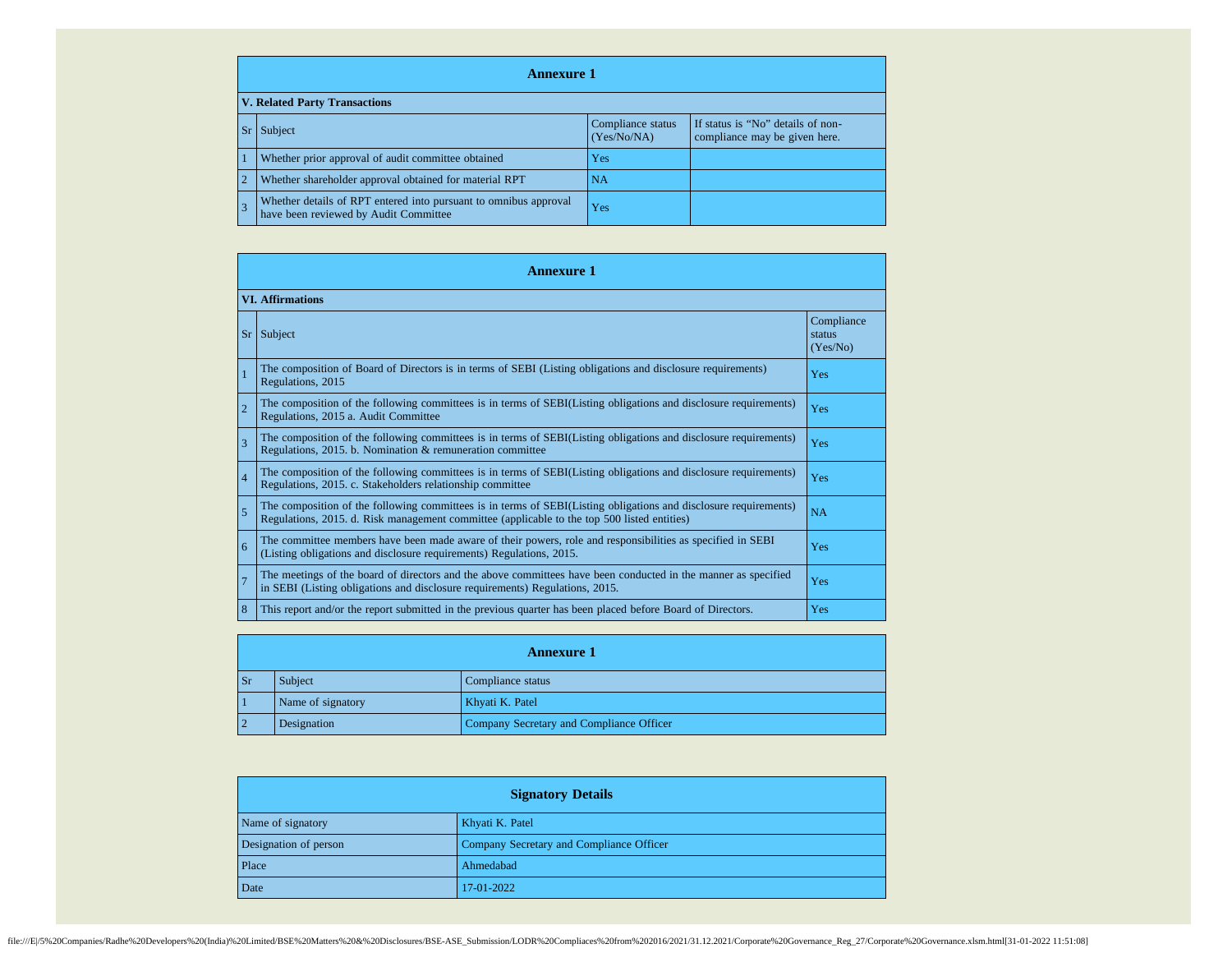| <b>Annexure 1</b>                    |                                                                                                           |                                  |                                                                    |  |  |
|--------------------------------------|-----------------------------------------------------------------------------------------------------------|----------------------------------|--------------------------------------------------------------------|--|--|
| <b>V. Related Party Transactions</b> |                                                                                                           |                                  |                                                                    |  |  |
|                                      | Subject                                                                                                   | Compliance status<br>(Yes/No/NA) | If status is "No" details of non-<br>compliance may be given here. |  |  |
|                                      | Whether prior approval of audit committee obtained                                                        | Yes                              |                                                                    |  |  |
|                                      | Whether shareholder approval obtained for material RPT                                                    | NA                               |                                                                    |  |  |
|                                      | Whether details of RPT entered into pursuant to omnibus approval<br>have been reviewed by Audit Committee | Yes                              |                                                                    |  |  |

|                          | <b>Annexure 1</b>                                                                                                                                                                                               |                                  |  |  |  |
|--------------------------|-----------------------------------------------------------------------------------------------------------------------------------------------------------------------------------------------------------------|----------------------------------|--|--|--|
|                          | <b>VI. Affirmations</b>                                                                                                                                                                                         |                                  |  |  |  |
| Sr                       | Subject                                                                                                                                                                                                         | Compliance<br>status<br>(Yes/No) |  |  |  |
|                          | The composition of Board of Directors is in terms of SEBI (Listing obligations and disclosure requirements)<br>Regulations, 2015                                                                                | Yes                              |  |  |  |
| $\overline{\mathcal{L}}$ | The composition of the following committees is in terms of SEBI(Listing obligations and disclosure requirements)<br>Regulations, 2015 a. Audit Committee                                                        | Yes                              |  |  |  |
| $\overline{3}$           | The composition of the following committees is in terms of SEBI(Listing obligations and disclosure requirements)<br>Regulations, 2015. b. Nomination & remuneration committee                                   | Yes                              |  |  |  |
| $\overline{4}$           | The composition of the following committees is in terms of SEBI(Listing obligations and disclosure requirements)<br>Regulations, 2015. c. Stakeholders relationship committee                                   | Yes                              |  |  |  |
| 5                        | The composition of the following committees is in terms of SEBI(Listing obligations and disclosure requirements)<br>Regulations, 2015. d. Risk management committee (applicable to the top 500 listed entities) | <b>NA</b>                        |  |  |  |
| 6                        | The committee members have been made aware of their powers, role and responsibilities as specified in SEBI<br>(Listing obligations and disclosure requirements) Regulations, 2015.                              | Yes                              |  |  |  |
| $\overline{7}$           | The meetings of the board of directors and the above committees have been conducted in the manner as specified<br>in SEBI (Listing obligations and disclosure requirements) Regulations, 2015.                  | Yes                              |  |  |  |
| 8                        | This report and/or the report submitted in the previous quarter has been placed before Board of Directors.                                                                                                      | Yes                              |  |  |  |

| <b>Annexure 1</b> |                   |                                          |  |  |
|-------------------|-------------------|------------------------------------------|--|--|
| $\mathbf{S}$ r    | Subject/          | Compliance status                        |  |  |
|                   | Name of signatory | Khyati K. Patel                          |  |  |
|                   | Designation       | Company Secretary and Compliance Officer |  |  |

| <b>Signatory Details</b> |                                          |  |
|--------------------------|------------------------------------------|--|
| Name of signatory        | Khyati K. Patel                          |  |
| Designation of person    | Company Secretary and Compliance Officer |  |
| Place                    | Ahmedabad                                |  |
| Date                     | 17-01-2022                               |  |